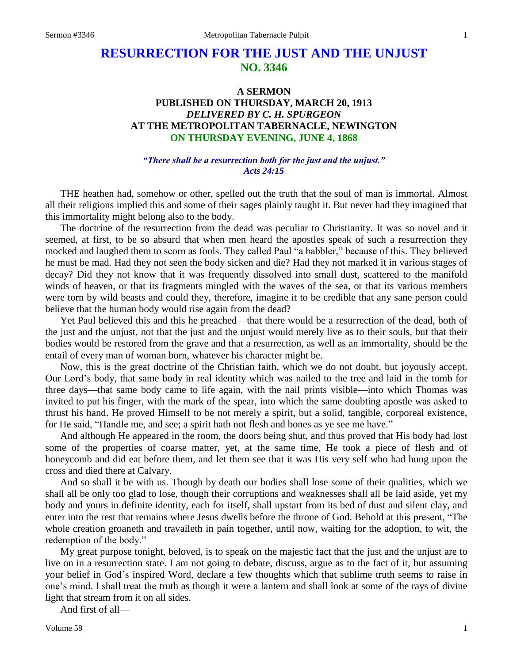# **RESURRECTION FOR THE JUST AND THE UNJUST NO. 3346**

# **A SERMON PUBLISHED ON THURSDAY, MARCH 20, 1913** *DELIVERED BY C. H. SPURGEON* **AT THE METROPOLITAN TABERNACLE, NEWINGTON ON THURSDAY EVENING, JUNE 4, 1868**

## *"There shall be a resurrection both for the just and the unjust." Acts 24:15*

THE heathen had, somehow or other, spelled out the truth that the soul of man is immortal. Almost all their religions implied this and some of their sages plainly taught it. But never had they imagined that this immortality might belong also to the body.

The doctrine of the resurrection from the dead was peculiar to Christianity. It was so novel and it seemed, at first, to be so absurd that when men heard the apostles speak of such a resurrection they mocked and laughed them to scorn as fools. They called Paul "a babbler," because of this. They believed he must be mad. Had they not seen the body sicken and die? Had they not marked it in various stages of decay? Did they not know that it was frequently dissolved into small dust, scattered to the manifold winds of heaven, or that its fragments mingled with the waves of the sea, or that its various members were torn by wild beasts and could they, therefore, imagine it to be credible that any sane person could believe that the human body would rise again from the dead?

Yet Paul believed this and this he preached—that there would be a resurrection of the dead, both of the just and the unjust, not that the just and the unjust would merely live as to their souls, but that their bodies would be restored from the grave and that a resurrection, as well as an immortality, should be the entail of every man of woman born, whatever his character might be.

Now, this is the great doctrine of the Christian faith, which we do not doubt, but joyously accept. Our Lord's body, that same body in real identity which was nailed to the tree and laid in the tomb for three days—that same body came to life again, with the nail prints visible—into which Thomas was invited to put his finger, with the mark of the spear, into which the same doubting apostle was asked to thrust his hand. He proved Himself to be not merely a spirit, but a solid, tangible, corporeal existence, for He said, "Handle me, and see; a spirit hath not flesh and bones as ye see me have."

And although He appeared in the room, the doors being shut, and thus proved that His body had lost some of the properties of coarse matter, yet, at the same time, He took a piece of flesh and of honeycomb and did eat before them, and let them see that it was His very self who had hung upon the cross and died there at Calvary.

And so shall it be with us. Though by death our bodies shall lose some of their qualities, which we shall all be only too glad to lose, though their corruptions and weaknesses shall all be laid aside, yet my body and yours in definite identity, each for itself, shall upstart from its bed of dust and silent clay, and enter into the rest that remains where Jesus dwells before the throne of God. Behold at this present, "The whole creation groaneth and travaileth in pain together, until now, waiting for the adoption, to wit, the redemption of the body."

My great purpose tonight, beloved, is to speak on the majestic fact that the just and the unjust are to live on in a resurrection state. I am not going to debate, discuss, argue as to the fact of it, but assuming your belief in God's inspired Word, declare a few thoughts which that sublime truth seems to raise in one's mind. I shall treat the truth as though it were a lantern and shall look at some of the rays of divine light that stream from it on all sides.

And first of all—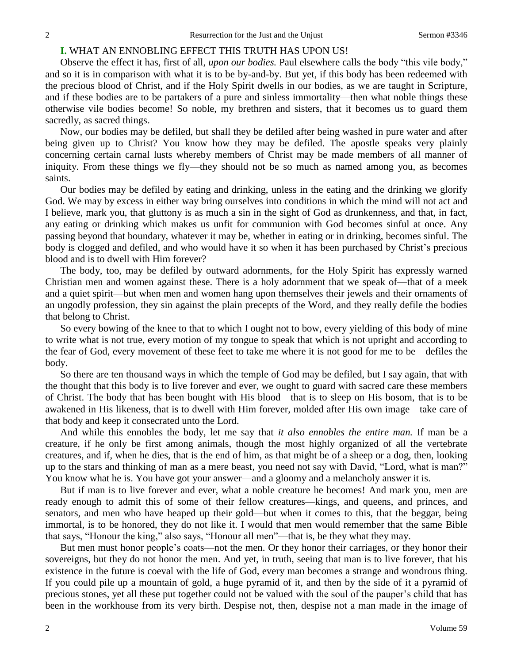# **I.** WHAT AN ENNOBLING EFFECT THIS TRUTH HAS UPON US!

Observe the effect it has, first of all, *upon our bodies.* Paul elsewhere calls the body "this vile body," and so it is in comparison with what it is to be by-and-by. But yet, if this body has been redeemed with the precious blood of Christ, and if the Holy Spirit dwells in our bodies, as we are taught in Scripture, and if these bodies are to be partakers of a pure and sinless immortality—then what noble things these otherwise vile bodies become! So noble, my brethren and sisters, that it becomes us to guard them sacredly, as sacred things.

Now, our bodies may be defiled, but shall they be defiled after being washed in pure water and after being given up to Christ? You know how they may be defiled. The apostle speaks very plainly concerning certain carnal lusts whereby members of Christ may be made members of all manner of iniquity. From these things we fly—they should not be so much as named among you, as becomes saints.

Our bodies may be defiled by eating and drinking, unless in the eating and the drinking we glorify God. We may by excess in either way bring ourselves into conditions in which the mind will not act and I believe, mark you, that gluttony is as much a sin in the sight of God as drunkenness, and that, in fact, any eating or drinking which makes us unfit for communion with God becomes sinful at once. Any passing beyond that boundary, whatever it may be, whether in eating or in drinking, becomes sinful. The body is clogged and defiled, and who would have it so when it has been purchased by Christ's precious blood and is to dwell with Him forever?

The body, too, may be defiled by outward adornments, for the Holy Spirit has expressly warned Christian men and women against these. There is a holy adornment that we speak of—that of a meek and a quiet spirit—but when men and women hang upon themselves their jewels and their ornaments of an ungodly profession, they sin against the plain precepts of the Word, and they really defile the bodies that belong to Christ.

So every bowing of the knee to that to which I ought not to bow, every yielding of this body of mine to write what is not true, every motion of my tongue to speak that which is not upright and according to the fear of God, every movement of these feet to take me where it is not good for me to be—defiles the body.

So there are ten thousand ways in which the temple of God may be defiled, but I say again, that with the thought that this body is to live forever and ever, we ought to guard with sacred care these members of Christ. The body that has been bought with His blood—that is to sleep on His bosom, that is to be awakened in His likeness, that is to dwell with Him forever, molded after His own image—take care of that body and keep it consecrated unto the Lord.

And while this ennobles the body, let me say that *it also ennobles the entire man.* If man be a creature, if he only be first among animals, though the most highly organized of all the vertebrate creatures, and if, when he dies, that is the end of him, as that might be of a sheep or a dog, then, looking up to the stars and thinking of man as a mere beast, you need not say with David, "Lord, what is man?" You know what he is. You have got your answer—and a gloomy and a melancholy answer it is.

But if man is to live forever and ever, what a noble creature he becomes! And mark you, men are ready enough to admit this of some of their fellow creatures—kings, and queens, and princes, and senators, and men who have heaped up their gold—but when it comes to this, that the beggar, being immortal, is to be honored, they do not like it. I would that men would remember that the same Bible that says, "Honour the king," also says, "Honour all men"—that is, be they what they may.

But men must honor people's coats—not the men. Or they honor their carriages, or they honor their sovereigns, but they do not honor the men. And yet, in truth, seeing that man is to live forever, that his existence in the future is coeval with the life of God, every man becomes a strange and wondrous thing. If you could pile up a mountain of gold, a huge pyramid of it, and then by the side of it a pyramid of precious stones, yet all these put together could not be valued with the soul of the pauper's child that has been in the workhouse from its very birth. Despise not, then, despise not a man made in the image of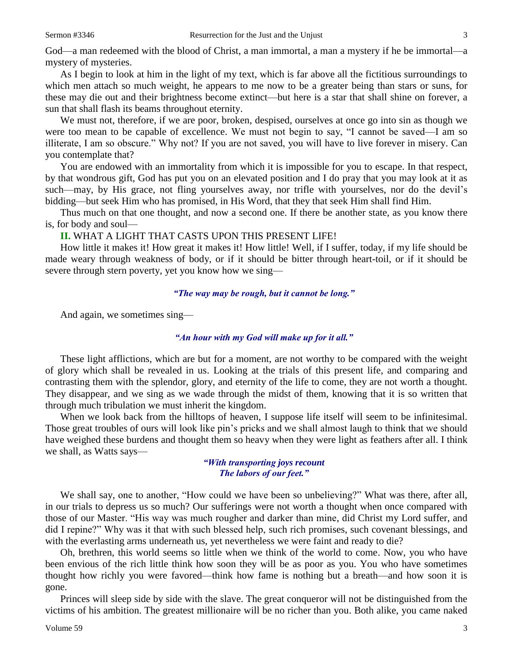God—a man redeemed with the blood of Christ, a man immortal, a man a mystery if he be immortal—a mystery of mysteries.

As I begin to look at him in the light of my text, which is far above all the fictitious surroundings to which men attach so much weight, he appears to me now to be a greater being than stars or suns, for these may die out and their brightness become extinct—but here is a star that shall shine on forever, a sun that shall flash its beams throughout eternity.

We must not, therefore, if we are poor, broken, despised, ourselves at once go into sin as though we were too mean to be capable of excellence. We must not begin to say, "I cannot be saved—I am so illiterate, I am so obscure." Why not? If you are not saved, you will have to live forever in misery. Can you contemplate that?

You are endowed with an immortality from which it is impossible for you to escape. In that respect, by that wondrous gift, God has put you on an elevated position and I do pray that you may look at it as such—may, by His grace, not fling yourselves away, nor trifle with yourselves, nor do the devil's bidding—but seek Him who has promised, in His Word, that they that seek Him shall find Him.

Thus much on that one thought, and now a second one. If there be another state, as you know there is, for body and soul—

## **II.** WHAT A LIGHT THAT CASTS UPON THIS PRESENT LIFE!

How little it makes it! How great it makes it! How little! Well, if I suffer, today, if my life should be made weary through weakness of body, or if it should be bitter through heart-toil, or if it should be severe through stern poverty, yet you know how we sing—

#### *"The way may be rough, but it cannot be long."*

And again, we sometimes sing—

# *"An hour with my God will make up for it all."*

These light afflictions, which are but for a moment, are not worthy to be compared with the weight of glory which shall be revealed in us. Looking at the trials of this present life, and comparing and contrasting them with the splendor, glory, and eternity of the life to come, they are not worth a thought. They disappear, and we sing as we wade through the midst of them, knowing that it is so written that through much tribulation we must inherit the kingdom.

When we look back from the hilltops of heaven, I suppose life itself will seem to be infinitesimal. Those great troubles of ours will look like pin's pricks and we shall almost laugh to think that we should have weighed these burdens and thought them so heavy when they were light as feathers after all. I think we shall, as Watts says—

# *"With transporting joys recount The labors of our feet."*

We shall say, one to another, "How could we have been so unbelieving?" What was there, after all, in our trials to depress us so much? Our sufferings were not worth a thought when once compared with those of our Master. "His way was much rougher and darker than mine, did Christ my Lord suffer, and did I repine?" Why was it that with such blessed help, such rich promises, such covenant blessings, and with the everlasting arms underneath us, yet nevertheless we were faint and ready to die?

Oh, brethren, this world seems so little when we think of the world to come. Now, you who have been envious of the rich little think how soon they will be as poor as you. You who have sometimes thought how richly you were favored—think how fame is nothing but a breath—and how soon it is gone.

Princes will sleep side by side with the slave. The great conqueror will not be distinguished from the victims of his ambition. The greatest millionaire will be no richer than you. Both alike, you came naked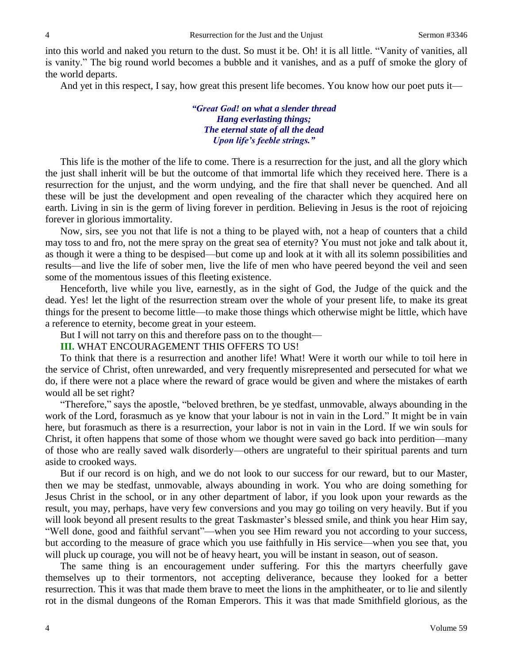into this world and naked you return to the dust. So must it be. Oh! it is all little. "Vanity of vanities, all is vanity." The big round world becomes a bubble and it vanishes, and as a puff of smoke the glory of the world departs.

And yet in this respect, I say, how great this present life becomes. You know how our poet puts it—

*"Great God! on what a slender thread Hang everlasting things; The eternal state of all the dead Upon life's feeble strings."*

This life is the mother of the life to come. There is a resurrection for the just, and all the glory which the just shall inherit will be but the outcome of that immortal life which they received here. There is a resurrection for the unjust, and the worm undying, and the fire that shall never be quenched. And all these will be just the development and open revealing of the character which they acquired here on earth. Living in sin is the germ of living forever in perdition. Believing in Jesus is the root of rejoicing forever in glorious immortality.

Now, sirs, see you not that life is not a thing to be played with, not a heap of counters that a child may toss to and fro, not the mere spray on the great sea of eternity? You must not joke and talk about it, as though it were a thing to be despised—but come up and look at it with all its solemn possibilities and results—and live the life of sober men, live the life of men who have peered beyond the veil and seen some of the momentous issues of this fleeting existence.

Henceforth, live while you live, earnestly, as in the sight of God, the Judge of the quick and the dead. Yes! let the light of the resurrection stream over the whole of your present life, to make its great things for the present to become little—to make those things which otherwise might be little, which have a reference to eternity, become great in your esteem.

But I will not tarry on this and therefore pass on to the thought—

# **III.** WHAT ENCOURAGEMENT THIS OFFERS TO US!

To think that there is a resurrection and another life! What! Were it worth our while to toil here in the service of Christ, often unrewarded, and very frequently misrepresented and persecuted for what we do, if there were not a place where the reward of grace would be given and where the mistakes of earth would all be set right?

"Therefore," says the apostle, "beloved brethren, be ye stedfast, unmovable, always abounding in the work of the Lord, forasmuch as ye know that your labour is not in vain in the Lord." It might be in vain here, but forasmuch as there is a resurrection, your labor is not in vain in the Lord. If we win souls for Christ, it often happens that some of those whom we thought were saved go back into perdition—many of those who are really saved walk disorderly—others are ungrateful to their spiritual parents and turn aside to crooked ways.

But if our record is on high, and we do not look to our success for our reward, but to our Master, then we may be stedfast, unmovable, always abounding in work. You who are doing something for Jesus Christ in the school, or in any other department of labor, if you look upon your rewards as the result, you may, perhaps, have very few conversions and you may go toiling on very heavily. But if you will look beyond all present results to the great Taskmaster's blessed smile, and think you hear Him say, "Well done, good and faithful servant"—when you see Him reward you not according to your success, but according to the measure of grace which you use faithfully in His service—when you see that, you will pluck up courage, you will not be of heavy heart, you will be instant in season, out of season.

The same thing is an encouragement under suffering. For this the martyrs cheerfully gave themselves up to their tormentors, not accepting deliverance, because they looked for a better resurrection. This it was that made them brave to meet the lions in the amphitheater, or to lie and silently rot in the dismal dungeons of the Roman Emperors. This it was that made Smithfield glorious, as the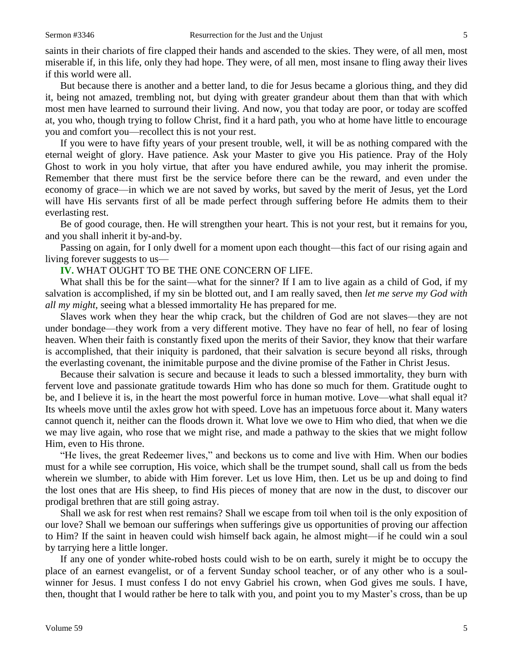saints in their chariots of fire clapped their hands and ascended to the skies. They were, of all men, most miserable if, in this life, only they had hope. They were, of all men, most insane to fling away their lives if this world were all.

But because there is another and a better land, to die for Jesus became a glorious thing, and they did it, being not amazed, trembling not, but dying with greater grandeur about them than that with which most men have learned to surround their living. And now, you that today are poor, or today are scoffed at, you who, though trying to follow Christ, find it a hard path, you who at home have little to encourage you and comfort you—recollect this is not your rest.

If you were to have fifty years of your present trouble, well, it will be as nothing compared with the eternal weight of glory. Have patience. Ask your Master to give you His patience. Pray of the Holy Ghost to work in you holy virtue, that after you have endured awhile, you may inherit the promise. Remember that there must first be the service before there can be the reward, and even under the economy of grace—in which we are not saved by works, but saved by the merit of Jesus, yet the Lord will have His servants first of all be made perfect through suffering before He admits them to their everlasting rest.

Be of good courage, then. He will strengthen your heart. This is not your rest, but it remains for you, and you shall inherit it by-and-by.

Passing on again, for I only dwell for a moment upon each thought—this fact of our rising again and living forever suggests to us—

**IV.** WHAT OUGHT TO BE THE ONE CONCERN OF LIFE.

What shall this be for the saint—what for the sinner? If I am to live again as a child of God, if my salvation is accomplished, if my sin be blotted out, and I am really saved, then *let me serve my God with all my might,* seeing what a blessed immortality He has prepared for me.

Slaves work when they hear the whip crack, but the children of God are not slaves—they are not under bondage—they work from a very different motive. They have no fear of hell, no fear of losing heaven. When their faith is constantly fixed upon the merits of their Savior, they know that their warfare is accomplished, that their iniquity is pardoned, that their salvation is secure beyond all risks, through the everlasting covenant, the inimitable purpose and the divine promise of the Father in Christ Jesus.

Because their salvation is secure and because it leads to such a blessed immortality, they burn with fervent love and passionate gratitude towards Him who has done so much for them. Gratitude ought to be, and I believe it is, in the heart the most powerful force in human motive. Love—what shall equal it? Its wheels move until the axles grow hot with speed. Love has an impetuous force about it. Many waters cannot quench it, neither can the floods drown it. What love we owe to Him who died, that when we die we may live again, who rose that we might rise, and made a pathway to the skies that we might follow Him, even to His throne.

"He lives, the great Redeemer lives," and beckons us to come and live with Him. When our bodies must for a while see corruption, His voice, which shall be the trumpet sound, shall call us from the beds wherein we slumber, to abide with Him forever. Let us love Him, then. Let us be up and doing to find the lost ones that are His sheep, to find His pieces of money that are now in the dust, to discover our prodigal brethren that are still going astray.

Shall we ask for rest when rest remains? Shall we escape from toil when toil is the only exposition of our love? Shall we bemoan our sufferings when sufferings give us opportunities of proving our affection to Him? If the saint in heaven could wish himself back again, he almost might—if he could win a soul by tarrying here a little longer.

If any one of yonder white-robed hosts could wish to be on earth, surely it might be to occupy the place of an earnest evangelist, or of a fervent Sunday school teacher, or of any other who is a soulwinner for Jesus. I must confess I do not envy Gabriel his crown, when God gives me souls. I have, then, thought that I would rather be here to talk with you, and point you to my Master's cross, than be up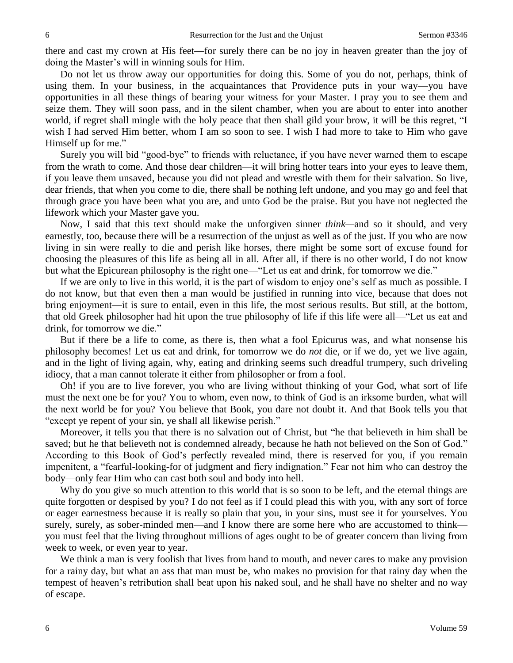there and cast my crown at His feet—for surely there can be no joy in heaven greater than the joy of doing the Master's will in winning souls for Him.

Do not let us throw away our opportunities for doing this. Some of you do not, perhaps, think of using them. In your business, in the acquaintances that Providence puts in your way—you have opportunities in all these things of bearing your witness for your Master. I pray you to see them and seize them. They will soon pass, and in the silent chamber, when you are about to enter into another world, if regret shall mingle with the holy peace that then shall gild your brow, it will be this regret, "I wish I had served Him better, whom I am so soon to see. I wish I had more to take to Him who gave Himself up for me."

Surely you will bid "good-bye" to friends with reluctance, if you have never warned them to escape from the wrath to come. And those dear children—it will bring hotter tears into your eyes to leave them, if you leave them unsaved, because you did not plead and wrestle with them for their salvation. So live, dear friends, that when you come to die, there shall be nothing left undone, and you may go and feel that through grace you have been what you are, and unto God be the praise. But you have not neglected the lifework which your Master gave you.

Now, I said that this text should make the unforgiven sinner *think—*and so it should, and very earnestly, too, because there will be a resurrection of the unjust as well as of the just. If you who are now living in sin were really to die and perish like horses, there might be some sort of excuse found for choosing the pleasures of this life as being all in all. After all, if there is no other world, I do not know but what the Epicurean philosophy is the right one—"Let us eat and drink, for tomorrow we die."

If we are only to live in this world, it is the part of wisdom to enjoy one's self as much as possible. I do not know, but that even then a man would be justified in running into vice, because that does not bring enjoyment—it is sure to entail, even in this life, the most serious results. But still, at the bottom, that old Greek philosopher had hit upon the true philosophy of life if this life were all—"Let us eat and drink, for tomorrow we die."

But if there be a life to come, as there is, then what a fool Epicurus was, and what nonsense his philosophy becomes! Let us eat and drink, for tomorrow we do *not* die, or if we do, yet we live again, and in the light of living again, why, eating and drinking seems such dreadful trumpery, such driveling idiocy, that a man cannot tolerate it either from philosopher or from a fool.

Oh! if you are to live forever, you who are living without thinking of your God, what sort of life must the next one be for you? You to whom, even now, to think of God is an irksome burden, what will the next world be for you? You believe that Book, you dare not doubt it. And that Book tells you that "except ye repent of your sin, ye shall all likewise perish."

Moreover, it tells you that there is no salvation out of Christ, but "he that believeth in him shall be saved; but he that believeth not is condemned already, because he hath not believed on the Son of God." According to this Book of God's perfectly revealed mind, there is reserved for you, if you remain impenitent, a "fearful-looking-for of judgment and fiery indignation." Fear not him who can destroy the body—only fear Him who can cast both soul and body into hell.

Why do you give so much attention to this world that is so soon to be left, and the eternal things are quite forgotten or despised by you? I do not feel as if I could plead this with you, with any sort of force or eager earnestness because it is really so plain that you, in your sins, must see it for yourselves. You surely, surely, as sober-minded men—and I know there are some here who are accustomed to think you must feel that the living throughout millions of ages ought to be of greater concern than living from week to week, or even year to year.

We think a man is very foolish that lives from hand to mouth, and never cares to make any provision for a rainy day, but what an ass that man must be, who makes no provision for that rainy day when the tempest of heaven's retribution shall beat upon his naked soul, and he shall have no shelter and no way of escape.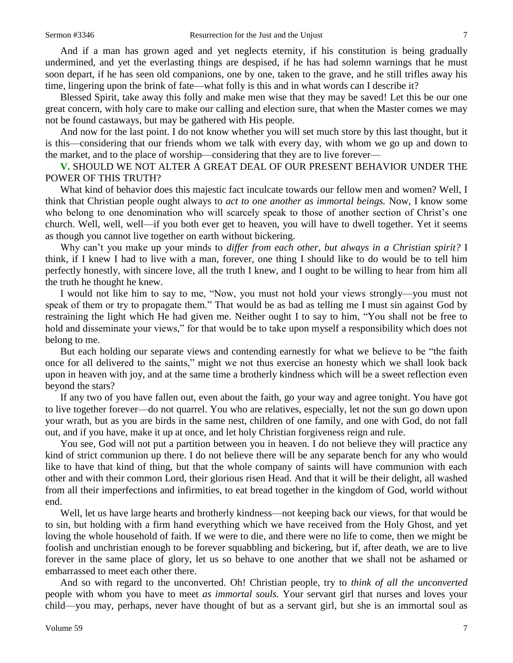And if a man has grown aged and yet neglects eternity, if his constitution is being gradually undermined, and yet the everlasting things are despised, if he has had solemn warnings that he must soon depart, if he has seen old companions, one by one, taken to the grave, and he still trifles away his time, lingering upon the brink of fate—what folly is this and in what words can I describe it?

Blessed Spirit, take away this folly and make men wise that they may be saved! Let this be our one great concern, with holy care to make our calling and election sure, that when the Master comes we may not be found castaways, but may be gathered with His people.

And now for the last point. I do not know whether you will set much store by this last thought, but it is this—considering that our friends whom we talk with every day, with whom we go up and down to the market, and to the place of worship—considering that they are to live forever—

**V.** SHOULD WE NOT ALTER A GREAT DEAL OF OUR PRESENT BEHAVIOR UNDER THE POWER OF THIS TRUTH?

What kind of behavior does this majestic fact inculcate towards our fellow men and women? Well, I think that Christian people ought always to *act to one another as immortal beings.* Now, I know some who belong to one denomination who will scarcely speak to those of another section of Christ's one church. Well, well, well—if you both ever get to heaven, you will have to dwell together. Yet it seems as though you cannot live together on earth without bickering.

Why can't you make up your minds to *differ from each other, but always in a Christian spirit?* I think, if I knew I had to live with a man, forever, one thing I should like to do would be to tell him perfectly honestly, with sincere love, all the truth I knew, and I ought to be willing to hear from him all the truth he thought he knew.

I would not like him to say to me, "Now, you must not hold your views strongly—you must not speak of them or try to propagate them." That would be as bad as telling me I must sin against God by restraining the light which He had given me. Neither ought I to say to him, "You shall not be free to hold and disseminate your views," for that would be to take upon myself a responsibility which does not belong to me.

But each holding our separate views and contending earnestly for what we believe to be "the faith once for all delivered to the saints," might we not thus exercise an honesty which we shall look back upon in heaven with joy, and at the same time a brotherly kindness which will be a sweet reflection even beyond the stars?

If any two of you have fallen out, even about the faith, go your way and agree tonight. You have got to live together forever—do not quarrel. You who are relatives, especially, let not the sun go down upon your wrath, but as you are birds in the same nest, children of one family, and one with God, do not fall out, and if you have, make it up at once, and let holy Christian forgiveness reign and rule.

You see, God will not put a partition between you in heaven. I do not believe they will practice any kind of strict communion up there. I do not believe there will be any separate bench for any who would like to have that kind of thing, but that the whole company of saints will have communion with each other and with their common Lord, their glorious risen Head. And that it will be their delight, all washed from all their imperfections and infirmities, to eat bread together in the kingdom of God, world without end.

Well, let us have large hearts and brotherly kindness—not keeping back our views, for that would be to sin, but holding with a firm hand everything which we have received from the Holy Ghost, and yet loving the whole household of faith. If we were to die, and there were no life to come, then we might be foolish and unchristian enough to be forever squabbling and bickering, but if, after death, we are to live forever in the same place of glory, let us so behave to one another that we shall not be ashamed or embarrassed to meet each other there.

And so with regard to the unconverted. Oh! Christian people, try to *think of all the unconverted*  people with whom you have to meet *as immortal souls.* Your servant girl that nurses and loves your child—you may, perhaps, never have thought of but as a servant girl, but she is an immortal soul as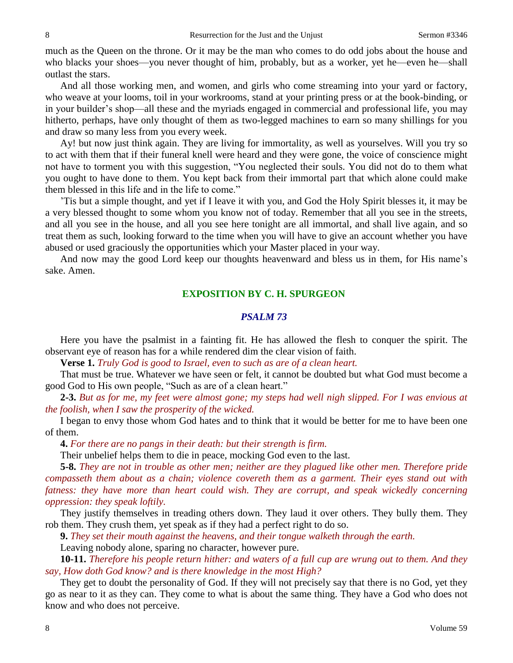much as the Queen on the throne. Or it may be the man who comes to do odd jobs about the house and who blacks your shoes—you never thought of him, probably, but as a worker, yet he—even he—shall outlast the stars.

And all those working men, and women, and girls who come streaming into your yard or factory, who weave at your looms, toil in your workrooms, stand at your printing press or at the book-binding, or in your builder's shop—all these and the myriads engaged in commercial and professional life, you may hitherto, perhaps, have only thought of them as two-legged machines to earn so many shillings for you and draw so many less from you every week.

Ay! but now just think again. They are living for immortality, as well as yourselves. Will you try so to act with them that if their funeral knell were heard and they were gone, the voice of conscience might not have to torment you with this suggestion, "You neglected their souls. You did not do to them what you ought to have done to them. You kept back from their immortal part that which alone could make them blessed in this life and in the life to come."

'Tis but a simple thought, and yet if I leave it with you, and God the Holy Spirit blesses it, it may be a very blessed thought to some whom you know not of today. Remember that all you see in the streets, and all you see in the house, and all you see here tonight are all immortal, and shall live again, and so treat them as such, looking forward to the time when you will have to give an account whether you have abused or used graciously the opportunities which your Master placed in your way.

And now may the good Lord keep our thoughts heavenward and bless us in them, for His name's sake. Amen.

#### **EXPOSITION BY C. H. SPURGEON**

#### *PSALM 73*

Here you have the psalmist in a fainting fit. He has allowed the flesh to conquer the spirit. The observant eye of reason has for a while rendered dim the clear vision of faith.

**Verse 1.** *Truly God is good to Israel, even to such as are of a clean heart.*

That must be true. Whatever we have seen or felt, it cannot be doubted but what God must become a good God to His own people, "Such as are of a clean heart."

**2-3.** *But as for me, my feet were almost gone; my steps had well nigh slipped. For I was envious at the foolish, when I saw the prosperity of the wicked.*

I began to envy those whom God hates and to think that it would be better for me to have been one of them.

**4.** *For there are no pangs in their death: but their strength is firm.*

Their unbelief helps them to die in peace, mocking God even to the last.

**5-8.** *They are not in trouble as other men; neither are they plagued like other men. Therefore pride compasseth them about as a chain; violence covereth them as a garment. Their eyes stand out with fatness: they have more than heart could wish. They are corrupt, and speak wickedly concerning oppression: they speak loftily.*

They justify themselves in treading others down. They laud it over others. They bully them. They rob them. They crush them, yet speak as if they had a perfect right to do so.

**9.** *They set their mouth against the heavens, and their tongue walketh through the earth.*

Leaving nobody alone, sparing no character, however pure.

**10-11.** *Therefore his people return hither: and waters of a full cup are wrung out to them. And they say, How doth God know? and is there knowledge in the most High?*

They get to doubt the personality of God. If they will not precisely say that there is no God, yet they go as near to it as they can. They come to what is about the same thing. They have a God who does not know and who does not perceive.